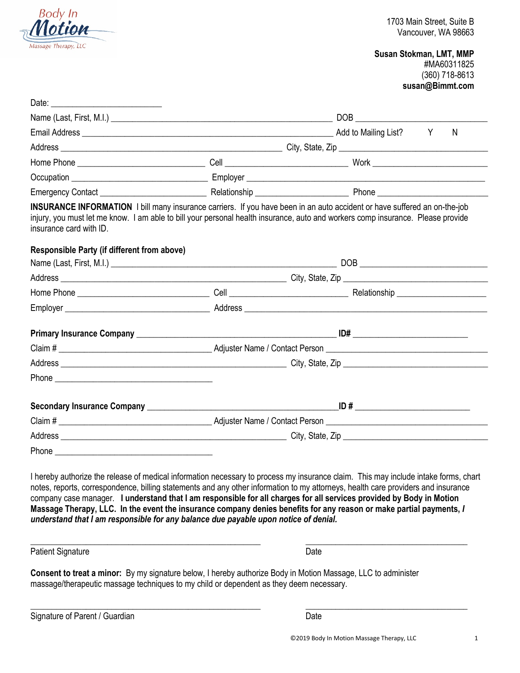

**Susan Stokman, LMT, MMP** #MA60311825 (360) 718-8613 **susan@Bimmt.com**

|                                                                                                                                                                                                                                                                                                                                        |  |  |  | N |
|----------------------------------------------------------------------------------------------------------------------------------------------------------------------------------------------------------------------------------------------------------------------------------------------------------------------------------------|--|--|--|---|
|                                                                                                                                                                                                                                                                                                                                        |  |  |  |   |
|                                                                                                                                                                                                                                                                                                                                        |  |  |  |   |
|                                                                                                                                                                                                                                                                                                                                        |  |  |  |   |
| Emergency Contact <b>Emergency Contact Example 20</b> Relationship <b>Emergency Contact</b>                                                                                                                                                                                                                                            |  |  |  |   |
| INSURANCE INFORMATION I bill many insurance carriers. If you have been in an auto accident or have suffered an on-the-job<br>injury, you must let me know. I am able to bill your personal health insurance, auto and workers comp insurance. Please provide<br>insurance card with ID.<br>Responsible Party (if different from above) |  |  |  |   |
|                                                                                                                                                                                                                                                                                                                                        |  |  |  |   |
|                                                                                                                                                                                                                                                                                                                                        |  |  |  |   |
|                                                                                                                                                                                                                                                                                                                                        |  |  |  |   |
|                                                                                                                                                                                                                                                                                                                                        |  |  |  |   |
|                                                                                                                                                                                                                                                                                                                                        |  |  |  |   |
|                                                                                                                                                                                                                                                                                                                                        |  |  |  |   |
|                                                                                                                                                                                                                                                                                                                                        |  |  |  |   |
|                                                                                                                                                                                                                                                                                                                                        |  |  |  |   |
|                                                                                                                                                                                                                                                                                                                                        |  |  |  |   |
|                                                                                                                                                                                                                                                                                                                                        |  |  |  |   |
|                                                                                                                                                                                                                                                                                                                                        |  |  |  |   |
|                                                                                                                                                                                                                                                                                                                                        |  |  |  |   |

I hereby authorize the release of medical information necessary to process my insurance claim. This may include intake forms, chart notes, reports, correspondence, billing statements and any other information to my attorneys, health care providers and insurance company case manager. **I understand that I am responsible for all charges for all services provided by Body in Motion Massage Therapy, LLC. In the event the insurance company denies benefits for any reason or make partial payments,** *I understand that I am responsible for any balance due payable upon notice of denial.*

\_\_\_\_\_\_\_\_\_\_\_\_\_\_\_\_\_\_\_\_\_\_\_\_\_\_\_\_\_\_\_\_\_\_\_\_\_\_\_\_\_\_\_\_\_\_\_\_\_\_\_\_\_\_ \_\_\_\_\_\_\_\_\_\_\_\_\_\_\_\_\_\_\_\_\_\_\_\_\_\_\_\_\_\_\_\_\_\_\_\_\_\_

\_\_\_\_\_\_\_\_\_\_\_\_\_\_\_\_\_\_\_\_\_\_\_\_\_\_\_\_\_\_\_\_\_\_\_\_\_\_\_\_\_\_\_\_\_\_\_\_\_\_\_\_\_\_ \_\_\_\_\_\_\_\_\_\_\_\_\_\_\_\_\_\_\_\_\_\_\_\_\_\_\_\_\_\_\_\_\_\_\_\_\_\_

Patient Signature Date Date Contract and the Date Date Date

**Consent to treat a minor:** By my signature below, I hereby authorize Body in Motion Massage, LLC to administer massage/therapeutic massage techniques to my child or dependent as they deem necessary.

Signature of Parent / Guardian Date Date Date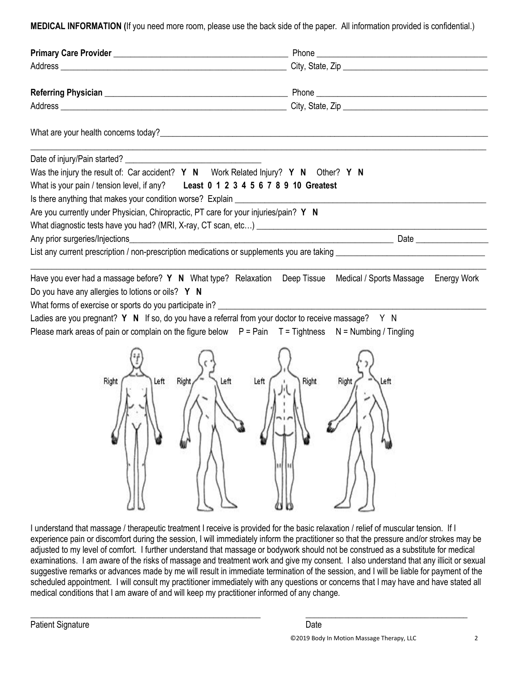**MEDICAL INFORMATION (**If you need more room, please use the back side of the paper. All information provided is confidential.)

| Was the injury the result of: Car accident? Y N Work Related Injury? Y N Other? Y N                                                                                                                                         |                        |  |  |
|-----------------------------------------------------------------------------------------------------------------------------------------------------------------------------------------------------------------------------|------------------------|--|--|
| What is your pain / tension level, if any? Least 0 1 2 3 4 5 6 7 8 9 10 Greatest                                                                                                                                            |                        |  |  |
|                                                                                                                                                                                                                             |                        |  |  |
| Are you currently under Physician, Chiropractic, PT care for your injuries/pain? Y N                                                                                                                                        |                        |  |  |
| What diagnostic tests have you had? (MRI, X-ray, CT scan, etc) [19] Manumed and the manument of the state of the water of the water of the water of the water of the water of the water of the water of the water of the wa |                        |  |  |
| Any prior surgeries/Injections                                                                                                                                                                                              |                        |  |  |
|                                                                                                                                                                                                                             |                        |  |  |
| Have you ever had a massage before? Y N What type? Relaxation Deep Tissue Medical / Sports Massage Energy Work                                                                                                              |                        |  |  |
| Do you have any allergies to lotions or oils? Y N                                                                                                                                                                           |                        |  |  |
| What forms of exercise or sports do you participate in? ________________________                                                                                                                                            |                        |  |  |
| Ladies are you pregnant? $Y \cdot N$ If so, do you have a referral from your doctor to receive massage? $Y \cdot N$                                                                                                         |                        |  |  |
| Please mark areas of pain or complain on the figure below $P = Pain$ $T = Tighthess$ $N = Numbing / Tingling$                                                                                                               |                        |  |  |
|                                                                                                                                                                                                                             |                        |  |  |
| Left<br>Left<br>Right<br>Left<br>Right                                                                                                                                                                                      | Right<br>Left<br>Right |  |  |
|                                                                                                                                                                                                                             |                        |  |  |

I understand that massage / therapeutic treatment I receive is provided for the basic relaxation / relief of muscular tension. If I experience pain or discomfort during the session, I will immediately inform the practitioner so that the pressure and/or strokes may be adjusted to my level of comfort. I further understand that massage or bodywork should not be construed as a substitute for medical examinations. I am aware of the risks of massage and treatment work and give my consent. I also understand that any illicit or sexual suggestive remarks or advances made by me will result in immediate termination of the session, and I will be liable for payment of the scheduled appointment. I will consult my practitioner immediately with any questions or concerns that I may have and have stated all medical conditions that I am aware of and will keep my practitioner informed of any change.